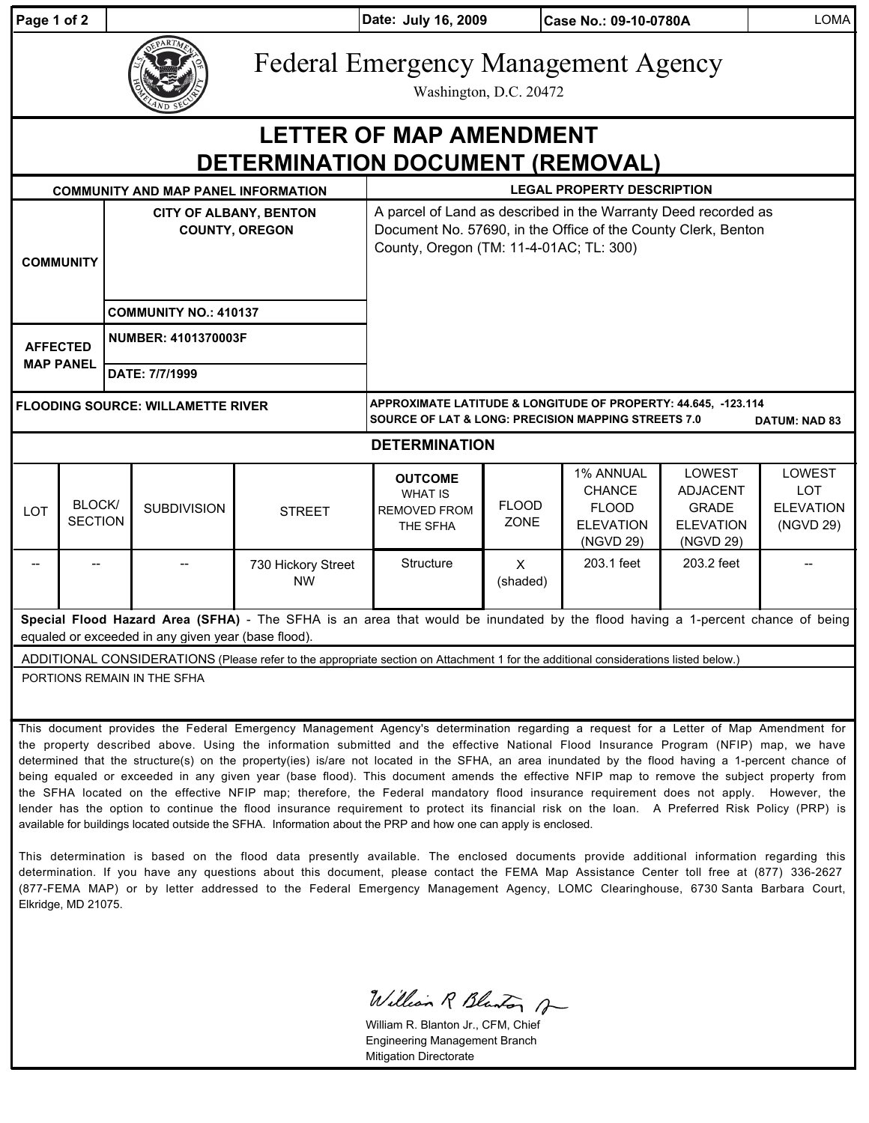| Page 1 of 2                                                                                                                                                                                                                                                                                                                                                                                                                                                                                                                                                                                                                                                                                                             |                          |                                                        |                              |                                 | Date: July 16, 2009                                                                                                                                                        |                      | Case No.: 09-10-0780A                                                       |                                                                            | <b>LOMA</b>                                                  |
|-------------------------------------------------------------------------------------------------------------------------------------------------------------------------------------------------------------------------------------------------------------------------------------------------------------------------------------------------------------------------------------------------------------------------------------------------------------------------------------------------------------------------------------------------------------------------------------------------------------------------------------------------------------------------------------------------------------------------|--------------------------|--------------------------------------------------------|------------------------------|---------------------------------|----------------------------------------------------------------------------------------------------------------------------------------------------------------------------|----------------------|-----------------------------------------------------------------------------|----------------------------------------------------------------------------|--------------------------------------------------------------|
|                                                                                                                                                                                                                                                                                                                                                                                                                                                                                                                                                                                                                                                                                                                         |                          |                                                        |                              |                                 | <b>Federal Emergency Management Agency</b><br>Washington, D.C. 20472                                                                                                       |                      |                                                                             |                                                                            |                                                              |
| <b>LETTER OF MAP AMENDMENT</b><br>DETERMINATION DOCUMENT (REMOVAL)                                                                                                                                                                                                                                                                                                                                                                                                                                                                                                                                                                                                                                                      |                          |                                                        |                              |                                 |                                                                                                                                                                            |                      |                                                                             |                                                                            |                                                              |
| <b>LEGAL PROPERTY DESCRIPTION</b><br><b>COMMUNITY AND MAP PANEL INFORMATION</b>                                                                                                                                                                                                                                                                                                                                                                                                                                                                                                                                                                                                                                         |                          |                                                        |                              |                                 |                                                                                                                                                                            |                      |                                                                             |                                                                            |                                                              |
| <b>COMMUNITY</b>                                                                                                                                                                                                                                                                                                                                                                                                                                                                                                                                                                                                                                                                                                        |                          | <b>CITY OF ALBANY, BENTON</b><br><b>COUNTY, OREGON</b> |                              |                                 | A parcel of Land as described in the Warranty Deed recorded as<br>Document No. 57690, in the Office of the County Clerk, Benton<br>County, Oregon (TM: 11-4-01AC; TL: 300) |                      |                                                                             |                                                                            |                                                              |
|                                                                                                                                                                                                                                                                                                                                                                                                                                                                                                                                                                                                                                                                                                                         |                          |                                                        | <b>COMMUNITY NO.: 410137</b> |                                 |                                                                                                                                                                            |                      |                                                                             |                                                                            |                                                              |
| <b>AFFECTED</b><br><b>MAP PANEL</b>                                                                                                                                                                                                                                                                                                                                                                                                                                                                                                                                                                                                                                                                                     |                          | <b>NUMBER: 4101370003F</b>                             |                              |                                 |                                                                                                                                                                            |                      |                                                                             |                                                                            |                                                              |
|                                                                                                                                                                                                                                                                                                                                                                                                                                                                                                                                                                                                                                                                                                                         |                          | DATE: 7/7/1999                                         |                              |                                 |                                                                                                                                                                            |                      |                                                                             |                                                                            |                                                              |
| <b>FLOODING SOURCE: WILLAMETTE RIVER</b>                                                                                                                                                                                                                                                                                                                                                                                                                                                                                                                                                                                                                                                                                |                          |                                                        |                              |                                 | APPROXIMATE LATITUDE & LONGITUDE OF PROPERTY: 44.645, -123.114<br><b>SOURCE OF LAT &amp; LONG: PRECISION MAPPING STREETS 7.0</b><br><b>DATUM: NAD 83</b>                   |                      |                                                                             |                                                                            |                                                              |
| <b>DETERMINATION</b>                                                                                                                                                                                                                                                                                                                                                                                                                                                                                                                                                                                                                                                                                                    |                          |                                                        |                              |                                 |                                                                                                                                                                            |                      |                                                                             |                                                                            |                                                              |
| LOT                                                                                                                                                                                                                                                                                                                                                                                                                                                                                                                                                                                                                                                                                                                     | BLOCK/<br><b>SECTION</b> |                                                        | <b>SUBDIVISION</b>           | <b>STREET</b>                   | <b>OUTCOME</b><br><b>WHAT IS</b><br><b>REMOVED FROM</b><br>THE SFHA                                                                                                        | <b>FLOOD</b><br>ZONE | 1% ANNUAL<br><b>CHANCE</b><br><b>FLOOD</b><br><b>ELEVATION</b><br>(NGVD 29) | LOWEST<br><b>ADJACENT</b><br><b>GRADE</b><br><b>ELEVATION</b><br>(NGVD 29) | <b>LOWEST</b><br><b>LOT</b><br><b>ELEVATION</b><br>(NGVD 29) |
|                                                                                                                                                                                                                                                                                                                                                                                                                                                                                                                                                                                                                                                                                                                         |                          |                                                        |                              | 730 Hickory Street<br><b>NW</b> | Structure                                                                                                                                                                  | X<br>(shaded)        | 203.1 feet                                                                  | 203.2 feet                                                                 |                                                              |
| Special Flood Hazard Area (SFHA) - The SFHA is an area that would be inundated by the flood having a 1-percent chance of being<br>equaled or exceeded in any given year (base flood).                                                                                                                                                                                                                                                                                                                                                                                                                                                                                                                                   |                          |                                                        |                              |                                 |                                                                                                                                                                            |                      |                                                                             |                                                                            |                                                              |
| ADDITIONAL CONSIDERATIONS (Please refer to the appropriate section on Attachment 1 for the additional considerations listed below.)                                                                                                                                                                                                                                                                                                                                                                                                                                                                                                                                                                                     |                          |                                                        |                              |                                 |                                                                                                                                                                            |                      |                                                                             |                                                                            |                                                              |
| PORTIONS REMAIN IN THE SFHA                                                                                                                                                                                                                                                                                                                                                                                                                                                                                                                                                                                                                                                                                             |                          |                                                        |                              |                                 |                                                                                                                                                                            |                      |                                                                             |                                                                            |                                                              |
| This document provides the Federal Emergency Management Agency's determination regarding a request for a Letter of Map Amendment for<br>the property described above. Using the information submitted and the effective National Flood Insurance Program (NFIP) map, we have<br>determined that the structure(s) on the property(ies) is/are not located in the SFHA, an area inundated by the flood having a 1-percent chance of<br>being equaled or exceeded in any given year (base flood). This document amends the effective NFIP map to remove the subject property from<br>the SFHA located on the effective NFIP map; therefore, the Federal mandatory flood insurance requirement does not apply. However, the |                          |                                                        |                              |                                 |                                                                                                                                                                            |                      |                                                                             |                                                                            |                                                              |

available for buildings located outside the SFHA. Information about the PRP and how one can apply is enclosed. This determination is based on the flood data presently available. The enclosed documents provide additional information regarding this determination. If you have any questions about this document, please contact the FEMA Map Assistance Center toll free at (877) 336-2627 (877-FEMA MAP) or by letter addressed to the Federal Emergency Management Agency, LOMC Clearinghouse, 6730 Santa Barbara Court,

Elkridge, MD 21075.

lender has the option to continue the flood insurance requirement to protect its financial risk on the loan. A Preferred Risk Policy (PRP) is

William R Blanton A

William R. Blanton Jr., CFM, Chief Engineering Management Branch Mitigation Directorate